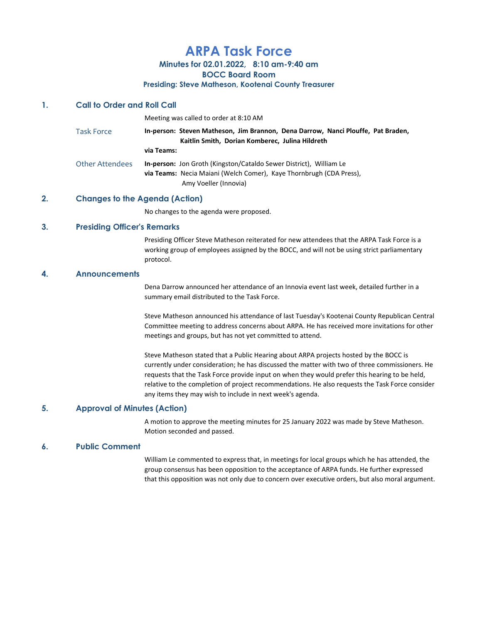# ARPA Task Force

Minutes for 02.01.2022, 8:10 am-9:40 am

BOCC Board Room

#### Presiding: Steve Matheson, Kootenai County Treasurer

# 1. Call to Order and Roll Call

|                   | Meeting was called to order at 8:10 AM                                                                                                                                    |
|-------------------|---------------------------------------------------------------------------------------------------------------------------------------------------------------------------|
| <b>Task Force</b> | In-person: Steven Matheson, Jim Brannon, Dena Darrow, Nanci Plouffe, Pat Braden,<br>Kaitlin Smith, Dorian Komberec, Julina Hildreth                                       |
|                   | via Teams:                                                                                                                                                                |
| Other Attendees   | <b>In-person:</b> Jon Groth (Kingston/Cataldo Sewer District), William Le<br>via Teams: Necia Maiani (Welch Comer), Kaye Thornbrugh (CDA Press),<br>Amy Voeller (Innovia) |

## 2. Changes to the Agenda (Action)

No changes to the agenda were proposed.

### 3. Presiding Officer's Remarks

Presiding Officer Steve Matheson reiterated for new attendees that the ARPA Task Force is a working group of employees assigned by the BOCC, and will not be using strict parliamentary protocol.

## 4. Announcements

Dena Darrow announced her attendance of an Innovia event last week, detailed further in a summary email distributed to the Task Force.

Steve Matheson announced his attendance of last Tuesday's Kootenai County Republican Central Committee meeting to address concerns about ARPA. He has received more invitations for other meetings and groups, but has not yet committed to attend.

Steve Matheson stated that a Public Hearing about ARPA projects hosted by the BOCC is currently under consideration; he has discussed the matter with two of three commissioners. He requests that the Task Force provide input on when they would prefer this hearing to be held, relative to the completion of project recommendations. He also requests the Task Force consider any items they may wish to include in next week's agenda.

#### 5. Approval of Minutes (Action)

A motion to approve the meeting minutes for 25 January 2022 was made by Steve Matheson. Motion seconded and passed.

#### 6. Public Comment

William Le commented to express that, in meetings for local groups which he has attended, the group consensus has been opposition to the acceptance of ARPA funds. He further expressed that this opposition was not only due to concern over executive orders, but also moral argument.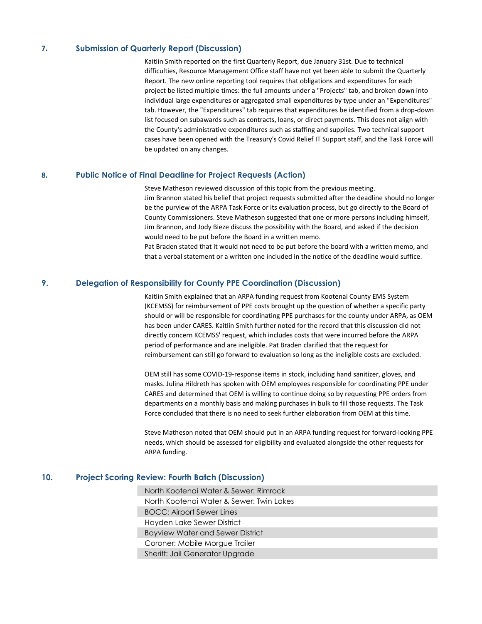## 7. Submission of Quarterly Report (Discussion)

Kaitlin Smith reported on the first Quarterly Report, due January 31st. Due to technical difficulties, Resource Management Office staff have not yet been able to submit the Quarterly Report. The new online reporting tool requires that obligations and expenditures for each project be listed multiple times: the full amounts under a "Projects" tab, and broken down into individual large expenditures or aggregated small expenditures by type under an "Expenditures" tab. However, the "Expenditures" tab requires that expenditures be identified from a drop-down list focused on subawards such as contracts, loans, or direct payments. This does not align with the County's administrative expenditures such as staffing and supplies. Two technical support cases have been opened with the Treasury's Covid Relief IT Support staff, and the Task Force will be updated on any changes.

#### 8. Public Notice of Final Deadline for Project Requests (Action)

Steve Matheson reviewed discussion of this topic from the previous meeting. Jim Brannon stated his belief that project requests submitted after the deadline should no longer be the purview of the ARPA Task Force or its evaluation process, but go directly to the Board of County Commissioners. Steve Matheson suggested that one or more persons including himself, Jim Brannon, and Jody Bieze discuss the possibility with the Board, and asked if the decision would need to be put before the Board in a written memo.

Pat Braden stated that it would not need to be put before the board with a written memo, and that a verbal statement or a written one included in the notice of the deadline would suffice.

### 9. Delegation of Responsibility for County PPE Coordination (Discussion)

Kaitlin Smith explained that an ARPA funding request from Kootenai County EMS System (KCEMSS) for reimbursement of PPE costs brought up the question of whether a specific party should or will be responsible for coordinating PPE purchases for the county under ARPA, as OEM has been under CARES. Kaitlin Smith further noted for the record that this discussion did not directly concern KCEMSS' request, which includes costs that were incurred before the ARPA period of performance and are ineligible. Pat Braden clarified that the request for reimbursement can still go forward to evaluation so long as the ineligible costs are excluded.

OEM still has some COVID-19-response items in stock, including hand sanitizer, gloves, and masks. Julina Hildreth has spoken with OEM employees responsible for coordinating PPE under CARES and determined that OEM is willing to continue doing so by requesting PPE orders from departments on a monthly basis and making purchases in bulk to fill those requests. The Task Force concluded that there is no need to seek further elaboration from OEM at this time.

Steve Matheson noted that OEM should put in an ARPA funding request for forward-looking PPE needs, which should be assessed for eligibility and evaluated alongside the other requests for ARPA funding.

# 10. Project Scoring Review: Fourth Batch (Discussion)

North Kootenai Water & Sewer: Rimrock North Kootenai Water & Sewer: Twin Lakes BOCC: Airport Sewer Lines Hayden Lake Sewer District Bayview Water and Sewer District Coroner: Mobile Morgue Trailer Sheriff: Jail Generator Upgrade